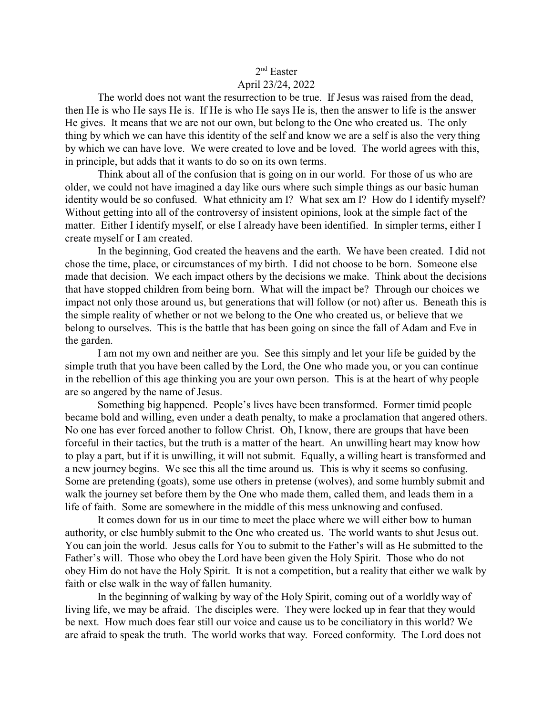## 2<sup>nd</sup> Easter April 23/24, 2022

The world does not want the resurrection to be true. If Jesus was raised from the dead, then He is who He says He is. If He is who He says He is, then the answer to life is the answer He gives. It means that we are not our own, but belong to the One who created us. The only thing by which we can have this identity of the self and know we are a self is also the very thing by which we can have love. We were created to love and be loved. The world agrees with this, in principle, but adds that it wants to do so on its own terms.

Think about all of the confusion that is going on in our world. For those of us who are older, we could not have imagined a day like ours where such simple things as our basic human identity would be so confused. What ethnicity am I? What sex am I? How do I identify myself? Without getting into all of the controversy of insistent opinions, look at the simple fact of the matter. Either I identify myself, or else I already have been identified. In simpler terms, either I create myself or I am created.

In the beginning, God created the heavens and the earth. We have been created. I did not chose the time, place, or circumstances of my birth. I did not choose to be born. Someone else made that decision. We each impact others by the decisions we make. Think about the decisions that have stopped children from being born. What will the impact be? Through our choices we impact not only those around us, but generations that will follow (or not) after us. Beneath this is the simple reality of whether or not we belong to the One who created us, or believe that we belong to ourselves. This is the battle that has been going on since the fall of Adam and Eve in the garden.

I am not my own and neither are you. See this simply and let your life be guided by the simple truth that you have been called by the Lord, the One who made you, or you can continue in the rebellion of this age thinking you are your own person. This is at the heart of why people are so angered by the name of Jesus.

Something big happened. People's lives have been transformed. Former timid people became bold and willing, even under a death penalty, to make a proclamation that angered others. No one has ever forced another to follow Christ. Oh, I know, there are groups that have been forceful in their tactics, but the truth is a matter of the heart. An unwilling heart may know how to play a part, but if it is unwilling, it will not submit. Equally, a willing heart is transformed and a new journey begins. We see this all the time around us. This is why it seems so confusing. Some are pretending (goats), some use others in pretense (wolves), and some humbly submit and walk the journey set before them by the One who made them, called them, and leads them in a life of faith. Some are somewhere in the middle of this mess unknowing and confused.

It comes down for us in our time to meet the place where we will either bow to human authority, or else humbly submit to the One who created us. The world wants to shut Jesus out. You can join the world. Jesus calls for You to submit to the Father's will as He submitted to the Father's will. Those who obey the Lord have been given the Holy Spirit. Those who do not obey Him do not have the Holy Spirit. It is not a competition, but a reality that either we walk by faith or else walk in the way of fallen humanity.

In the beginning of walking by way of the Holy Spirit, coming out of a worldly way of living life, we may be afraid. The disciples were. They were locked up in fear that they would be next. How much does fear still our voice and cause us to be conciliatory in this world? We are afraid to speak the truth. The world works that way. Forced conformity. The Lord does not